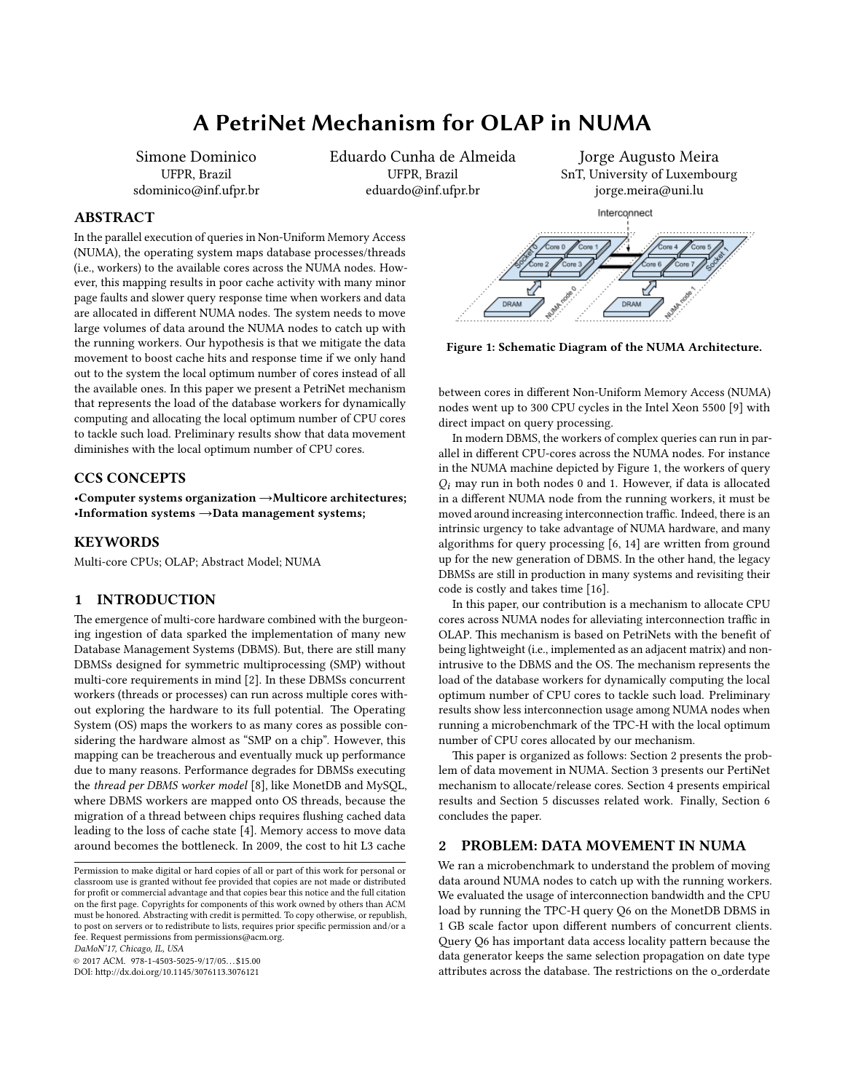# A PetriNet Mechanism for OLAP in NUMA

<span id="page-0-2"></span>Simone Dominico UFPR, Brazil sdominico@inf.ufpr.br Eduardo Cunha de Almeida UFPR, Brazil eduardo@inf.ufpr.br

ABSTRACT

In the parallel execution of queries in Non-Uniform Memory Access (NUMA), the operating system maps database processes/threads (i.e., workers) to the available cores across the NUMA nodes. However, this mapping results in poor cache activity with many minor page faults and slower query response time when workers and data are allocated in different NUMA nodes. The system needs to move large volumes of data around the NUMA nodes to catch up with the running workers. Our hypothesis is that we mitigate the data movement to boost cache hits and response time if we only hand out to the system the local optimum number of cores instead of all the available ones. In this paper we present a PetriNet mechanism that represents the load of the database workers for dynamically computing and allocating the local optimum number of CPU cores to tackle such load. Preliminary results show that data movement diminishes with the local optimum number of CPU cores.

## CCS CONCEPTS

•Computer systems organization →Multicore architectures; •Information systems →Data management systems;

### **KEYWORDS**

Multi-core CPUs; OLAP; Abstract Model; NUMA

## 1 INTRODUCTION

The emergence of multi-core hardware combined with the burgeoning ingestion of data sparked the implementation of many new Database Management Systems (DBMS). But, there are still many DBMSs designed for symmetric multiprocessing (SMP) without multi-core requirements in mind [\[2\]](#page-3-0). In these DBMSs concurrent workers (threads or processes) can run across multiple cores without exploring the hardware to its full potential. The Operating System (OS) maps the workers to as many cores as possible considering the hardware almost as "SMP on a chip". However, this mapping can be treacherous and eventually muck up performance due to many reasons. Performance degrades for DBMSs executing the thread per DBMS worker model [\[8\]](#page-3-1), like MonetDB and MySQL, where DBMS workers are mapped onto OS threads, because the migration of a thread between chips requires flushing cached data leading to the loss of cache state [\[4\]](#page-3-2). Memory access to move data around becomes the bottleneck. In 2009, the cost to hit L3 cache

DaMoN'17, Chicago, IL, USA

 $@ 2017$  ACM. 978-1-4503-5025-9/17/05...\$15.00

DOI: http://dx.doi.org/10.1145/3076113.3076121

<span id="page-0-0"></span>

Jorge Augusto Meira SnT, University of Luxembourg

Figure 1: Schematic Diagram of the NUMA Architecture.

between cores in different Non-Uniform Memory Access (NUMA) nodes went up to 300 CPU cycles in the Intel Xeon 5500 [\[9\]](#page-3-3) with direct impact on query processing.

In modern DBMS, the workers of complex queries can run in parallel in different CPU-cores across the NUMA nodes. For instance in the NUMA machine depicted by Figure [1,](#page-0-0) the workers of query  $Q_i$  may run in both nodes 0 and 1. However, if data is allocated in a different NUMA node from the running workers, it must be moved around increasing interconnection traffic. Indeed, there is an intrinsic urgency to take advantage of NUMA hardware, and many algorithms for query processing  $[6, 14]$  $[6, 14]$  $[6, 14]$  are written from ground up for the new generation of DBMS. In the other hand, the legacy DBMSs are still in production in many systems and revisiting their code is costly and takes time [\[16\]](#page-3-6).

In this paper, our contribution is a mechanism to allocate CPU cores across NUMA nodes for alleviating interconnection traffic in OLAP. This mechanism is based on PetriNets with the benefit of being lightweight (i.e., implemented as an adjacent matrix) and nonintrusive to the DBMS and the OS. The mechanism represents the load of the database workers for dynamically computing the local optimum number of CPU cores to tackle such load. Preliminary results show less interconnection usage among NUMA nodes when running a microbenchmark of the TPC-H with the local optimum number of CPU cores allocated by our mechanism.

This paper is organized as follows: Section [2](#page-0-1) presents the problem of data movement in NUMA. Section [3](#page-1-0) presents our PertiNet mechanism to allocate/release cores. Section [4](#page-2-0) presents empirical results and Section [5](#page-2-1) discusses related work. Finally, Section [6](#page-2-2) concludes the paper.

## <span id="page-0-1"></span>2 PROBLEM: DATA MOVEMENT IN NUMA

We ran a microbenchmark to understand the problem of moving data around NUMA nodes to catch up with the running workers. We evaluated the usage of interconnection bandwidth and the CPU load by running the TPC-H query Q6 on the MonetDB DBMS in 1 GB scale factor upon different numbers of concurrent clients. Query Q6 has important data access locality pattern because the data generator keeps the same selection propagation on date type attributes across the database. The restrictions on the o\_orderdate

Permission to make digital or hard copies of all or part of this work for personal or classroom use is granted without fee provided that copies are not made or distributed for profit or commercial advantage and that copies bear this notice and the full citation on the first page. Copyrights for components of this work owned by others than ACM must be honored. Abstracting with credit is permitted. To copy otherwise, or republish, to post on servers or to redistribute to lists, requires prior specific permission and/or a fee. Request permissions from permissions@acm.org.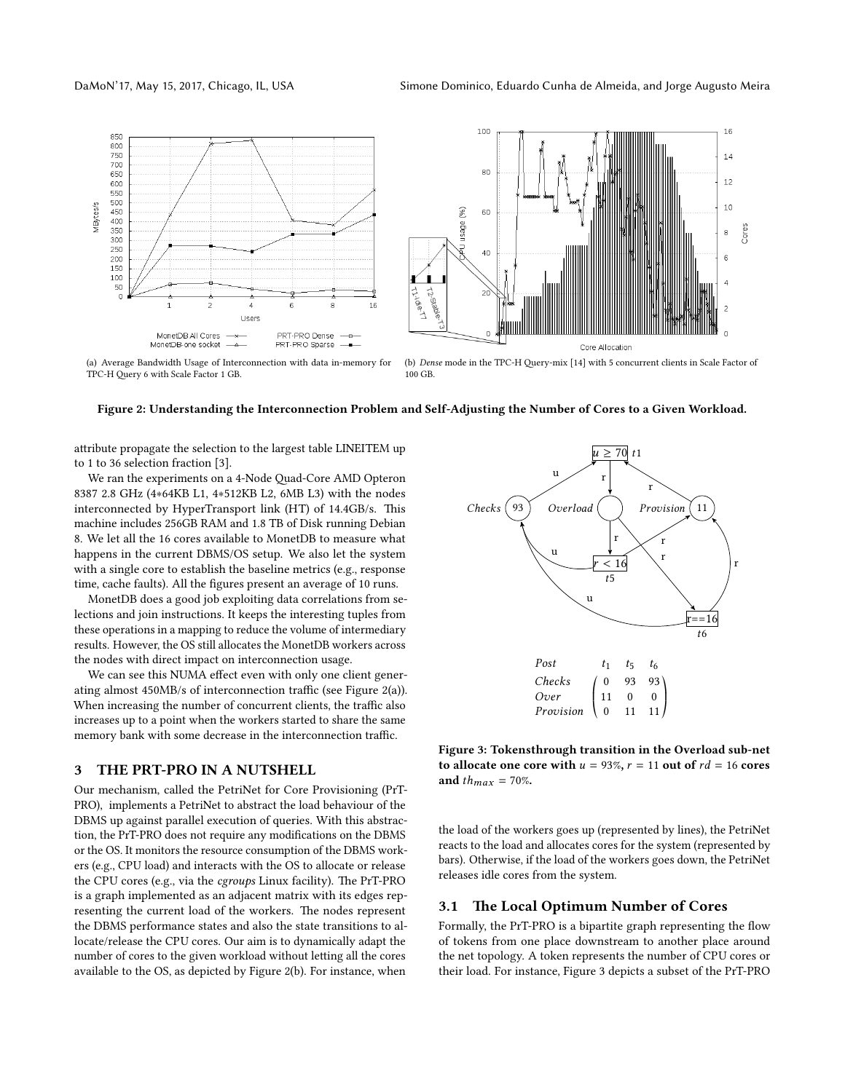<span id="page-1-1"></span>

(a) Average Bandwidth Usage of Interconnection with data in-memory for TPC-H Query 6 with Scale Factor 1 GB.

<span id="page-1-2"></span>(b) Dense mode in the TPC-H Query-mix [\[14\]](#page-3-5) with 5 concurrent clients in Scale Factor of 100 GB.

#### Figure 2: Understanding the Interconnection Problem and Self-Adjusting the Number of Cores to a Given Workload.

attribute propagate the selection to the largest table LINEITEM up to 1 to 36 selection fraction [\[3\]](#page-3-7).

We ran the experiments on a 4-Node Quad-Core AMD Opteron 8387 2.8 GHz (4∗64KB L1, 4∗512KB L2, 6MB L3) with the nodes interconnected by HyperTransport link (HT) of 14.4GB/s. This machine includes 256GB RAM and 1.8 TB of Disk running Debian 8. We let all the 16 cores available to MonetDB to measure what happens in the current DBMS/OS setup. We also let the system with a single core to establish the baseline metrics (e.g., response time, cache faults). All the figures present an average of 10 runs.

MonetDB does a good job exploiting data correlations from selections and join instructions. It keeps the interesting tuples from these operations in a mapping to reduce the volume of intermediary results. However, the OS still allocates the MonetDB workers across the nodes with direct impact on interconnection usage.

We can see this NUMA effect even with only one client generating almost  $450MB/s$  of interconnection traffic (see Figure [2\(a\)\)](#page-1-1). When increasing the number of concurrent clients, the traffic also increases up to a point when the workers started to share the same memory bank with some decrease in the interconnection traffic.

## <span id="page-1-0"></span>3 THE PRT-PRO IN A NUTSHELL

Our mechanism, called the PetriNet for Core Provisioning (PrT-PRO), implements a PetriNet to abstract the load behaviour of the DBMS up against parallel execution of queries. With this abstraction, the PrT-PRO does not require any modifications on the DBMS or the OS. It monitors the resource consumption of the DBMS workers (e.g., CPU load) and interacts with the OS to allocate or release the CPU cores (e.g., via the cgroups Linux facility). The PrT-PRO is a graph implemented as an adjacent matrix with its edges representing the current load of the workers. The nodes represent the DBMS performance states and also the state transitions to allocate/release the CPU cores. Our aim is to dynamically adapt the number of cores to the given workload without letting all the cores available to the OS, as depicted by Figure [2\(b\).](#page-1-2) For instance, when

<span id="page-1-3"></span>

Figure 3: Tokensthrough transition in the Overload sub-net to allocate one core with  $u = 93\%, r = 11$  out of  $rd = 16$  cores and  $th_{max}$  = 70%.

the load of the workers goes up (represented by lines), the PetriNet reacts to the load and allocates cores for the system (represented by bars). Otherwise, if the load of the workers goes down, the PetriNet releases idle cores from the system.

#### 3.1 The Local Optimum Number of Cores

Formally, the PrT-PRO is a bipartite graph representing the flow of tokens from one place downstream to another place around the net topology. A token represents the number of CPU cores or their load. For instance, Figure [3](#page-1-3) depicts a subset of the PrT-PRO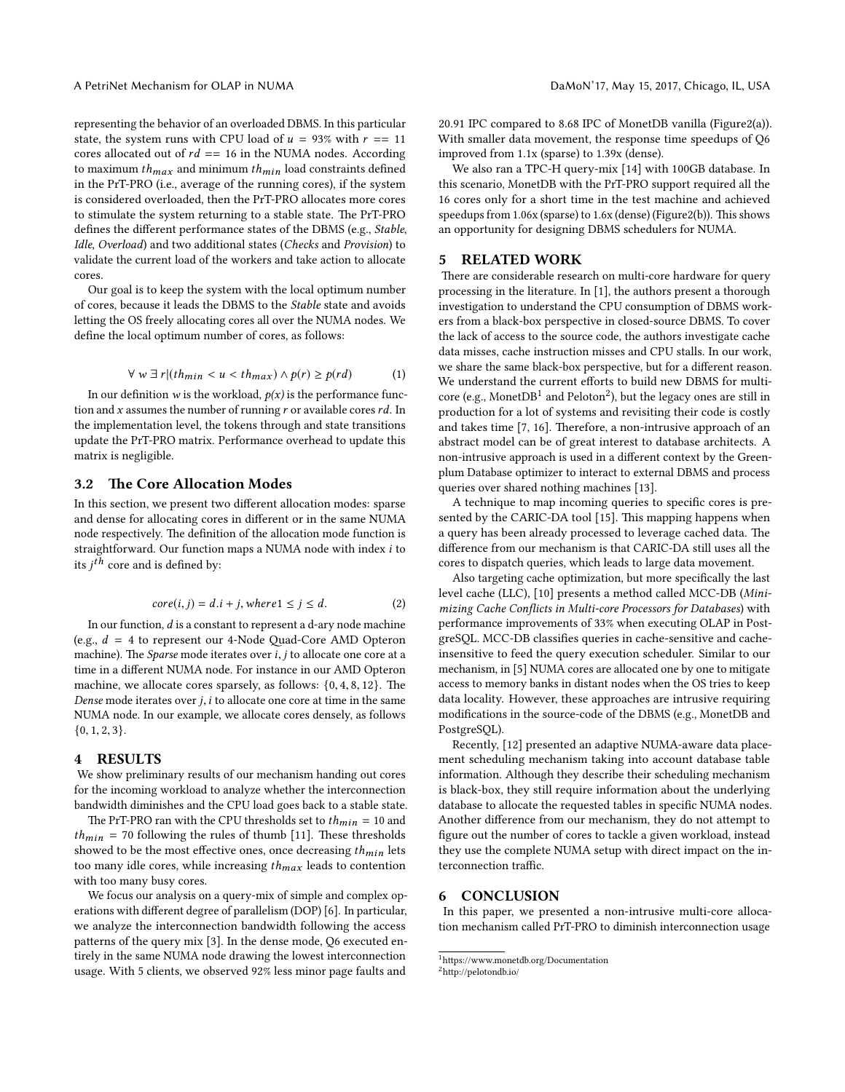representing the behavior of an overloaded DBMS. In this particular state, the system runs with CPU load of  $u = 93\%$  with  $r == 11$ cores allocated out of  $rd = 16$  in the NUMA nodes. According to maximum  $th_{max}$  and minimum  $th_{min}$  load constraints defined in the PrT-PRO (i.e., average of the running cores), if the system is considered overloaded, then the PrT-PRO allocates more cores to stimulate the system returning to a stable state. The PrT-PRO defines the different performance states of the DBMS (e.g., Stable, Idle, Overload) and two additional states (Checks and Provision) to validate the current load of the workers and take action to allocate cores.

Our goal is to keep the system with the local optimum number of cores, because it leads the DBMS to the Stable state and avoids letting the OS freely allocating cores all over the NUMA nodes. We define the local optimum number of cores, as follows:

$$
\forall w \exists r | (th_{min} < u < th_{max}) \land p(r) \ge p(rd) \tag{1}
$$

In our definition w is the workload,  $p(x)$  is the performance function and x assumes the number of running  $r$  or available cores  $rd$ . In the implementation level, the tokens through and state transitions update the PrT-PRO matrix. Performance overhead to update this matrix is negligible.

## 3.2 The Core Allocation Modes

In this section, we present two different allocation modes: sparse and dense for allocating cores in different or in the same NUMA node respectively. The definition of the allocation mode function is straightforward. Our function maps a NUMA node with index i to its  $j^{th}$  core and is defined by:

$$
core(i,j) = d.i + j, where 1 \le j \le d. \tag{2}
$$

In our function,  $d$  is a constant to represent a d-ary node machine (e.g.,  $d = 4$  to represent our 4-Node Quad-Core AMD Opteron machine). The *Sparse* mode iterates over  $i$ ,  $j$  to allocate one core at a time in a different NUMA node. For instance in our AMD Opteron machine, we allocate cores sparsely, as follows:  $\{0, 4, 8, 12\}$ . The Dense mode iterates over  $j$ ,  $i$  to allocate one core at time in the same NUMA node. In our example, we allocate cores densely, as follows  $\{0, 1, 2, 3\}.$ 

#### <span id="page-2-0"></span>4 RESULTS

We show preliminary results of our mechanism handing out cores for the incoming workload to analyze whether the interconnection bandwidth diminishes and the CPU load goes back to a stable state.

The PrT-PRO ran with the CPU thresholds set to  $th_{min} = 10$  and  $th_{min}$  = 70 following the rules of thumb [\[11\]](#page-3-8). These thresholds showed to be the most effective ones, once decreasing  $th_{min}$  lets too many idle cores, while increasing  $th_{max}$  leads to contention with too many busy cores.

We focus our analysis on a query-mix of simple and complex op-erations with different degree of parallelism (DOP) [\[6\]](#page-3-4). In particular, we analyze the interconnection bandwidth following the access patterns of the query mix [\[3\]](#page-3-7). In the dense mode, Q6 executed entirely in the same NUMA node drawing the lowest interconnection usage. With 5 clients, we observed 92% less minor page faults and

20.91 IPC compared to 8.68 IPC of MonetDB vanilla (Figur[e2\(a\)\)](#page-1-1). With smaller data movement, the response time speedups of Q6 improved from 1.1x (sparse) to 1.39x (dense).

We also ran a TPC-H query-mix [\[14\]](#page-3-5) with 100GB database. In this scenario, MonetDB with the PrT-PRO support required all the 16 cores only for a short time in the test machine and achieved speedups from  $1.06x$  (sparse) to  $1.6x$  (dense) (Figur[e2\(b\)\)](#page-1-2). This shows an opportunity for designing DBMS schedulers for NUMA.

#### <span id="page-2-1"></span>5 RELATED WORK

There are considerable research on multi-core hardware for query processing in the literature. In [\[1\]](#page-3-9), the authors present a thorough investigation to understand the CPU consumption of DBMS workers from a black-box perspective in closed-source DBMS. To cover the lack of access to the source code, the authors investigate cache data misses, cache instruction misses and CPU stalls. In our work, we share the same black-box perspective, but for a different reason. We understand the current efforts to build new DBMS for multicore (e.g., Monet $DB^1$  $DB^1$  and Peloton<sup>[2](#page-0-2)</sup>), but the legacy ones are still in production for a lot of systems and revisiting their code is costly and takes time  $[7, 16]$  $[7, 16]$  $[7, 16]$ . Therefore, a non-intrusive approach of an abstract model can be of great interest to database architects. A non-intrusive approach is used in a different context by the Greenplum Database optimizer to interact to external DBMS and process queries over shared nothing machines [\[13\]](#page-3-11).

A technique to map incoming queries to specific cores is pre-sented by the CARIC-DA tool [\[15\]](#page-3-12). This mapping happens when a query has been already processed to leverage cached data. The difference from our mechanism is that CARIC-DA still uses all the cores to dispatch queries, which leads to large data movement.

Also targeting cache optimization, but more specifically the last level cache (LLC), [\[10\]](#page-3-13) presents a method called MCC-DB (Minimizing Cache Conflicts in Multi-core Processors for Databases) with performance improvements of 33% when executing OLAP in PostgreSQL. MCC-DB classifies queries in cache-sensitive and cacheinsensitive to feed the query execution scheduler. Similar to our mechanism, in [\[5\]](#page-3-14) NUMA cores are allocated one by one to mitigate access to memory banks in distant nodes when the OS tries to keep data locality. However, these approaches are intrusive requiring modifications in the source-code of the DBMS (e.g., MonetDB and PostgreSQL).

Recently, [\[12\]](#page-3-15) presented an adaptive NUMA-aware data placement scheduling mechanism taking into account database table information. Although they describe their scheduling mechanism is black-box, they still require information about the underlying database to allocate the requested tables in specific NUMA nodes. Another difference from our mechanism, they do not attempt to figure out the number of cores to tackle a given workload, instead they use the complete NUMA setup with direct impact on the interconnection traffic.

## <span id="page-2-2"></span>6 CONCLUSION

In this paper, we presented a non-intrusive multi-core allocation mechanism called PrT-PRO to diminish interconnection usage

 $^{\rm 1}$ https://www.monetdb.org/Documentation

 ${}^{2}$ http://pelotondb.io/